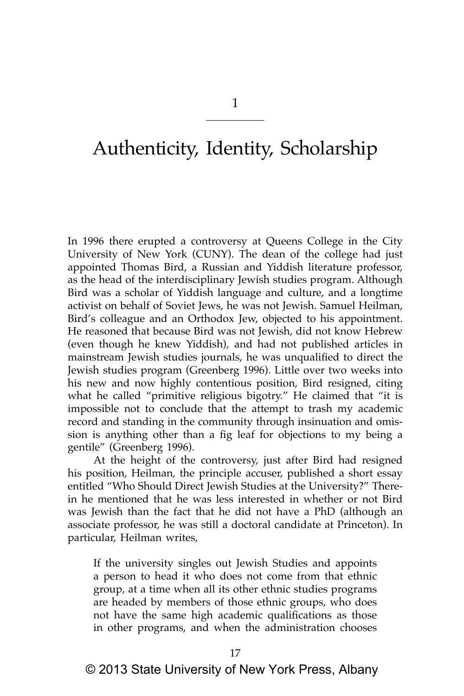# Authenticity, Identity, Scholarship

In 1996 there erupted a controversy at Queens College in the City University of New York (CUNY). The dean of the college had just appointed Thomas Bird, a Russian and Yiddish literature professor, as the head of the interdisciplinary Jewish studies program. Although Bird was a scholar of Yiddish language and culture, and a longtime activist on behalf of Soviet Jews, he was not Jewish. Samuel Heilman, Bird's colleague and an Orthodox Jew, objected to his appointment. He reasoned that because Bird was not Jewish, did not know Hebrew (even though he knew Yiddish), and had not published articles in mainstream Jewish studies journals, he was unqualified to direct the Jewish studies program (Greenberg 1996). Little over two weeks into his new and now highly contentious position, Bird resigned, citing what he called "primitive religious bigotry." He claimed that "it is impossible not to conclude that the attempt to trash my academic record and standing in the community through insinuation and omission is anything other than a fig leaf for objections to my being a gentile" (Greenberg 1996).

At the height of the controversy, just after Bird had resigned his position, Heilman, the principle accuser, published a short essay entitled "Who Should Direct Jewish Studies at the University?" Therein he mentioned that he was less interested in whether or not Bird was Jewish than the fact that he did not have a PhD (although an associate professor, he was still a doctoral candidate at Princeton). In particular, Heilman writes,

If the university singles out Jewish Studies and appoints a person to head it who does not come from that ethnic group, at a time when all its other ethnic studies programs are headed by members of those ethnic groups, who does not have the same high academic qualifications as those in other programs, and when the administration chooses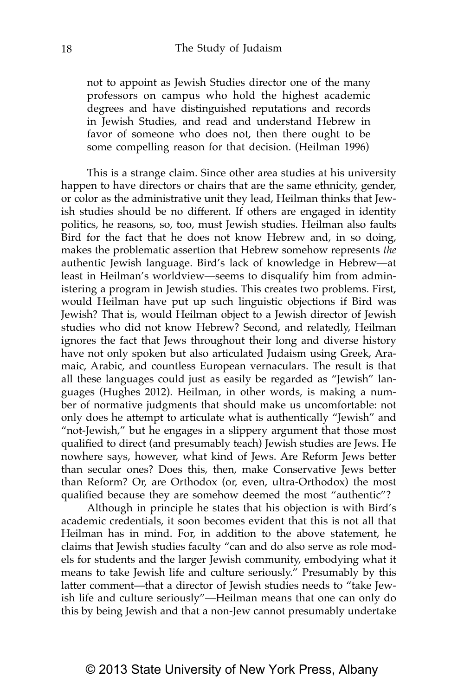not to appoint as Jewish Studies director one of the many professors on campus who hold the highest academic degrees and have distinguished reputations and records in Jewish Studies, and read and understand Hebrew in favor of someone who does not, then there ought to be some compelling reason for that decision. (Heilman 1996)

This is a strange claim. Since other area studies at his university happen to have directors or chairs that are the same ethnicity, gender, or color as the administrative unit they lead, Heilman thinks that Jewish studies should be no different. If others are engaged in identity politics, he reasons, so, too, must Jewish studies. Heilman also faults Bird for the fact that he does not know Hebrew and, in so doing, makes the problematic assertion that Hebrew somehow represents *the*  authentic Jewish language. Bird's lack of knowledge in Hebrew—at least in Heilman's worldview—seems to disqualify him from administering a program in Jewish studies. This creates two problems. First, would Heilman have put up such linguistic objections if Bird was Jewish? That is, would Heilman object to a Jewish director of Jewish studies who did not know Hebrew? Second, and relatedly, Heilman ignores the fact that Jews throughout their long and diverse history have not only spoken but also articulated Judaism using Greek, Aramaic, Arabic, and countless European vernaculars. The result is that all these languages could just as easily be regarded as "Jewish" languages (Hughes 2012). Heilman, in other words, is making a number of normative judgments that should make us uncomfortable: not only does he attempt to articulate what is authentically "Jewish" and "not-Jewish," but he engages in a slippery argument that those most qualified to direct (and presumably teach) Jewish studies are Jews. He nowhere says, however, what kind of Jews. Are Reform Jews better than secular ones? Does this, then, make Conservative Jews better than Reform? Or, are Orthodox (or, even, ultra-Orthodox) the most qualified because they are somehow deemed the most "authentic"?

Although in principle he states that his objection is with Bird's academic credentials, it soon becomes evident that this is not all that Heilman has in mind. For, in addition to the above statement, he claims that Jewish studies faculty "can and do also serve as role models for students and the larger Jewish community, embodying what it means to take Jewish life and culture seriously." Presumably by this latter comment—that a director of Jewish studies needs to "take Jewish life and culture seriously"—Heilman means that one can only do this by being Jewish and that a non-Jew cannot presumably undertake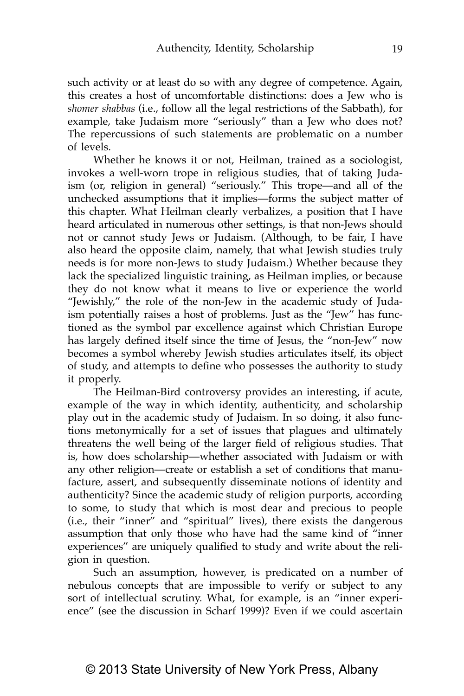such activity or at least do so with any degree of competence. Again, this creates a host of uncomfortable distinctions: does a Jew who is *shomer shabbas* (i.e., follow all the legal restrictions of the Sabbath), for example, take Judaism more "seriously" than a Jew who does not? The repercussions of such statements are problematic on a number of levels.

Whether he knows it or not, Heilman, trained as a sociologist, invokes a well-worn trope in religious studies, that of taking Judaism (or, religion in general) "seriously." This trope—and all of the unchecked assumptions that it implies—forms the subject matter of this chapter. What Heilman clearly verbalizes, a position that I have heard articulated in numerous other settings, is that non-Jews should not or cannot study Jews or Judaism. (Although, to be fair, I have also heard the opposite claim, namely, that what Jewish studies truly needs is for more non-Jews to study Judaism.) Whether because they lack the specialized linguistic training, as Heilman implies, or because they do not know what it means to live or experience the world "Jewishly," the role of the non-Jew in the academic study of Judaism potentially raises a host of problems. Just as the "Jew" has functioned as the symbol par excellence against which Christian Europe has largely defined itself since the time of Jesus, the "non-Jew" now becomes a symbol whereby Jewish studies articulates itself, its object of study, and attempts to define who possesses the authority to study it properly.

The Heilman-Bird controversy provides an interesting, if acute, example of the way in which identity, authenticity, and scholarship play out in the academic study of Judaism. In so doing, it also functions metonymically for a set of issues that plagues and ultimately threatens the well being of the larger field of religious studies. That is, how does scholarship—whether associated with Judaism or with any other religion—create or establish a set of conditions that manufacture, assert, and subsequently disseminate notions of identity and authenticity? Since the academic study of religion purports, according to some, to study that which is most dear and precious to people (i.e., their "inner" and "spiritual" lives), there exists the dangerous assumption that only those who have had the same kind of "inner experiences" are uniquely qualified to study and write about the religion in question.

Such an assumption, however, is predicated on a number of nebulous concepts that are impossible to verify or subject to any sort of intellectual scrutiny. What, for example, is an "inner experience" (see the discussion in Scharf 1999)? Even if we could ascertain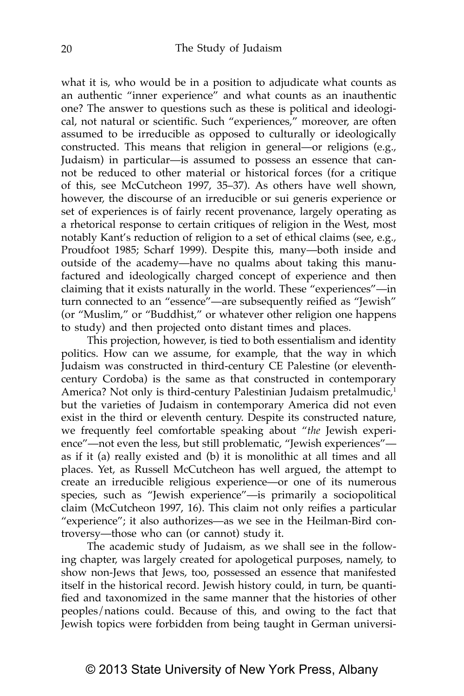what it is, who would be in a position to adjudicate what counts as an authentic "inner experience" and what counts as an inauthentic one? The answer to questions such as these is political and ideological, not natural or scientific. Such "experiences," moreover, are often assumed to be irreducible as opposed to culturally or ideologically constructed. This means that religion in general—or religions (e.g., Judaism) in particular—is assumed to possess an essence that cannot be reduced to other material or historical forces (for a critique of this, see McCutcheon 1997, 35–37). As others have well shown, however, the discourse of an irreducible or sui generis experience or set of experiences is of fairly recent provenance, largely operating as a rhetorical response to certain critiques of religion in the West, most notably Kant's reduction of religion to a set of ethical claims (see, e.g., Proudfoot 1985; Scharf 1999). Despite this, many—both inside and outside of the academy—have no qualms about taking this manufactured and ideologically charged concept of experience and then claiming that it exists naturally in the world. These "experiences"—in turn connected to an "essence"—are subsequently reified as "Jewish" (or "Muslim," or "Buddhist," or whatever other religion one happens to study) and then projected onto distant times and places.

This projection, however, is tied to both essentialism and identity politics. How can we assume, for example, that the way in which Judaism was constructed in third-century CE Palestine (or eleventhcentury Cordoba) is the same as that constructed in contemporary America? Not only is third-century Palestinian Judaism pretalmudic,<sup>1</sup> but the varieties of Judaism in contemporary America did not even exist in the third or eleventh century. Despite its constructed nature, we frequently feel comfortable speaking about "*the* Jewish experience"—not even the less, but still problematic, "Jewish experiences" as if it (a) really existed and (b) it is monolithic at all times and all places. Yet, as Russell McCutcheon has well argued, the attempt to create an irreducible religious experience—or one of its numerous species, such as "Jewish experience"—is primarily a sociopolitical claim (McCutcheon 1997, 16). This claim not only reifies a particular "experience"; it also authorizes—as we see in the Heilman-Bird controversy—those who can (or cannot) study it.

The academic study of Judaism, as we shall see in the following chapter, was largely created for apologetical purposes, namely, to show non-Jews that Jews, too, possessed an essence that manifested itself in the historical record. Jewish history could, in turn, be quantified and taxonomized in the same manner that the histories of other peoples/nations could. Because of this, and owing to the fact that Jewish topics were forbidden from being taught in German universi-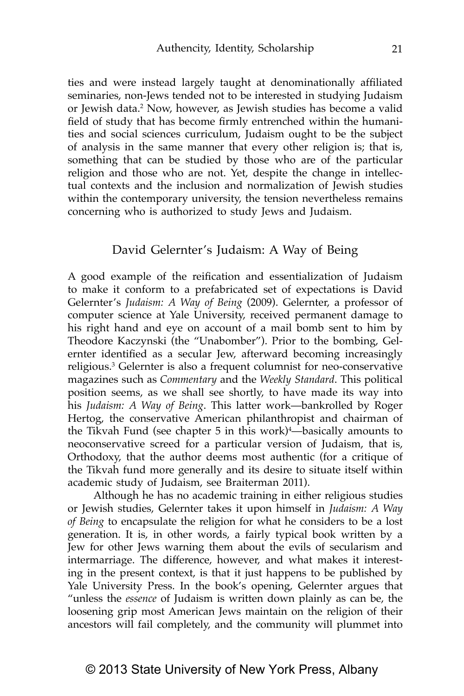ties and were instead largely taught at denominationally affiliated seminaries, non-Jews tended not to be interested in studying Judaism or Jewish data.<sup>2</sup> Now, however, as Jewish studies has become a valid field of study that has become firmly entrenched within the humanities and social sciences curriculum, Judaism ought to be the subject of analysis in the same manner that every other religion is; that is, something that can be studied by those who are of the particular religion and those who are not. Yet, despite the change in intellectual contexts and the inclusion and normalization of Jewish studies within the contemporary university, the tension nevertheless remains concerning who is authorized to study Jews and Judaism.

## David Gelernter's Judaism: A Way of Being

A good example of the reification and essentialization of Judaism to make it conform to a prefabricated set of expectations is David Gelernter's *Judaism: A Way of Being* (2009). Gelernter, a professor of computer science at Yale University, received permanent damage to his right hand and eye on account of a mail bomb sent to him by Theodore Kaczynski (the "Unabomber"). Prior to the bombing, Gelernter identified as a secular Jew, afterward becoming increasingly religious.3 Gelernter is also a frequent columnist for neo-conservative magazines such as *Commentary* and the *Weekly Standard*. This political position seems, as we shall see shortly, to have made its way into his *Judaism: A Way of Being*. This latter work—bankrolled by Roger Hertog, the conservative American philanthropist and chairman of the Tikvah Fund (see chapter 5 in this work)<sup>4</sup>—basically amounts to neoconservative screed for a particular version of Judaism, that is, Orthodoxy, that the author deems most authentic (for a critique of the Tikvah fund more generally and its desire to situate itself within academic study of Judaism, see Braiterman 2011).

Although he has no academic training in either religious studies or Jewish studies, Gelernter takes it upon himself in *Judaism: A Way of Being* to encapsulate the religion for what he considers to be a lost generation. It is, in other words, a fairly typical book written by a Jew for other Jews warning them about the evils of secularism and intermarriage. The difference, however, and what makes it interesting in the present context, is that it just happens to be published by Yale University Press. In the book's opening, Gelernter argues that "unless the *essence* of Judaism is written down plainly as can be, the loosening grip most American Jews maintain on the religion of their ancestors will fail completely, and the community will plummet into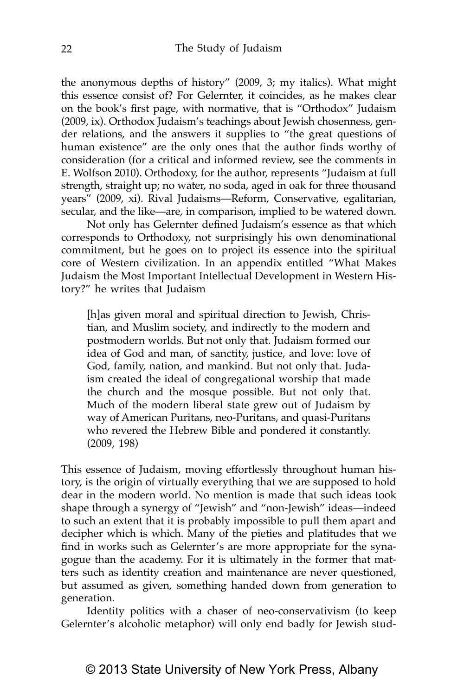the anonymous depths of history" (2009, 3; my italics). What might this essence consist of? For Gelernter, it coincides, as he makes clear on the book's first page, with normative, that is "Orthodox" Judaism (2009, ix). Orthodox Judaism's teachings about Jewish chosenness, gender relations, and the answers it supplies to "the great questions of human existence" are the only ones that the author finds worthy of consideration (for a critical and informed review, see the comments in E. Wolfson 2010). Orthodoxy, for the author, represents "Judaism at full strength, straight up; no water, no soda, aged in oak for three thousand years" (2009, xi). Rival Judaisms—Reform, Conservative, egalitarian, secular, and the like—are, in comparison, implied to be watered down.

Not only has Gelernter defined Judaism's essence as that which corresponds to Orthodoxy, not surprisingly his own denominational commitment, but he goes on to project its essence into the spiritual core of Western civilization. In an appendix entitled "What Makes Judaism the Most Important Intellectual Development in Western History?" he writes that Judaism

[h]as given moral and spiritual direction to Jewish, Christian, and Muslim society, and indirectly to the modern and postmodern worlds. But not only that. Judaism formed our idea of God and man, of sanctity, justice, and love: love of God, family, nation, and mankind. But not only that. Judaism created the ideal of congregational worship that made the church and the mosque possible. But not only that. Much of the modern liberal state grew out of Judaism by way of American Puritans, neo-Puritans, and quasi-Puritans who revered the Hebrew Bible and pondered it constantly. (2009, 198)

This essence of Judaism, moving effortlessly throughout human history, is the origin of virtually everything that we are supposed to hold dear in the modern world. No mention is made that such ideas took shape through a synergy of "Jewish" and "non-Jewish" ideas—indeed to such an extent that it is probably impossible to pull them apart and decipher which is which. Many of the pieties and platitudes that we find in works such as Gelernter's are more appropriate for the synagogue than the academy. For it is ultimately in the former that matters such as identity creation and maintenance are never questioned, but assumed as given, something handed down from generation to generation.

Identity politics with a chaser of neo-conservativism (to keep Gelernter's alcoholic metaphor) will only end badly for Jewish stud-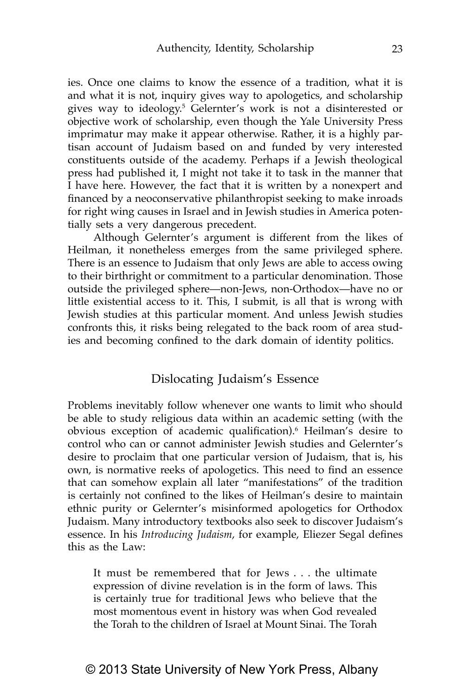ies. Once one claims to know the essence of a tradition, what it is and what it is not, inquiry gives way to apologetics, and scholarship gives way to ideology.5 Gelernter's work is not a disinterested or objective work of scholarship, even though the Yale University Press imprimatur may make it appear otherwise. Rather, it is a highly partisan account of Judaism based on and funded by very interested constituents outside of the academy. Perhaps if a Jewish theological press had published it, I might not take it to task in the manner that I have here. However, the fact that it is written by a nonexpert and financed by a neoconservative philanthropist seeking to make inroads for right wing causes in Israel and in Jewish studies in America potentially sets a very dangerous precedent.

Although Gelernter's argument is different from the likes of Heilman, it nonetheless emerges from the same privileged sphere. There is an essence to Judaism that only Jews are able to access owing to their birthright or commitment to a particular denomination. Those outside the privileged sphere—non-Jews, non-Orthodox—have no or little existential access to it. This, I submit, is all that is wrong with Jewish studies at this particular moment. And unless Jewish studies confronts this, it risks being relegated to the back room of area studies and becoming confined to the dark domain of identity politics.

### Dislocating Judaism's Essence

Problems inevitably follow whenever one wants to limit who should be able to study religious data within an academic setting (with the obvious exception of academic qualification).<sup>6</sup> Heilman's desire to control who can or cannot administer Jewish studies and Gelernter's desire to proclaim that one particular version of Judaism, that is, his own, is normative reeks of apologetics. This need to find an essence that can somehow explain all later "manifestations" of the tradition is certainly not confined to the likes of Heilman's desire to maintain ethnic purity or Gelernter's misinformed apologetics for Orthodox Judaism. Many introductory textbooks also seek to discover Judaism's essence. In his *Introducing Judaism*, for example, Eliezer Segal defines this as the Law:

It must be remembered that for Jews . . . the ultimate expression of divine revelation is in the form of laws. This is certainly true for traditional Jews who believe that the most momentous event in history was when God revealed the Torah to the children of Israel at Mount Sinai. The Torah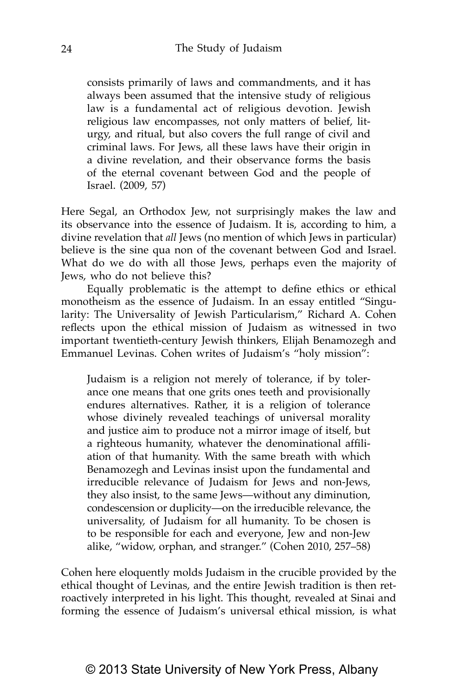consists primarily of laws and commandments, and it has always been assumed that the intensive study of religious law is a fundamental act of religious devotion. Jewish religious law encompasses, not only matters of belief, liturgy, and ritual, but also covers the full range of civil and criminal laws. For Jews, all these laws have their origin in a divine revelation, and their observance forms the basis of the eternal covenant between God and the people of Israel. (2009, 57)

Here Segal, an Orthodox Jew, not surprisingly makes the law and its observance into the essence of Judaism. It is, according to him, a divine revelation that *all* Jews (no mention of which Jews in particular) believe is the sine qua non of the covenant between God and Israel. What do we do with all those Jews, perhaps even the majority of Jews, who do not believe this?

Equally problematic is the attempt to define ethics or ethical monotheism as the essence of Judaism. In an essay entitled "Singularity: The Universality of Jewish Particularism," Richard A. Cohen reflects upon the ethical mission of Judaism as witnessed in two important twentieth-century Jewish thinkers, Elijah Benamozegh and Emmanuel Levinas. Cohen writes of Judaism's "holy mission":

Judaism is a religion not merely of tolerance, if by tolerance one means that one grits ones teeth and provisionally endures alternatives. Rather, it is a religion of tolerance whose divinely revealed teachings of universal morality and justice aim to produce not a mirror image of itself, but a righteous humanity, whatever the denominational affiliation of that humanity. With the same breath with which Benamozegh and Levinas insist upon the fundamental and irreducible relevance of Judaism for Jews and non-Jews, they also insist, to the same Jews—without any diminution, condescension or duplicity—on the irreducible relevance, the universality, of Judaism for all humanity. To be chosen is to be responsible for each and everyone, Jew and non-Jew alike, "widow, orphan, and stranger." (Cohen 2010, 257–58)

Cohen here eloquently molds Judaism in the crucible provided by the ethical thought of Levinas, and the entire Jewish tradition is then retroactively interpreted in his light. This thought, revealed at Sinai and forming the essence of Judaism's universal ethical mission, is what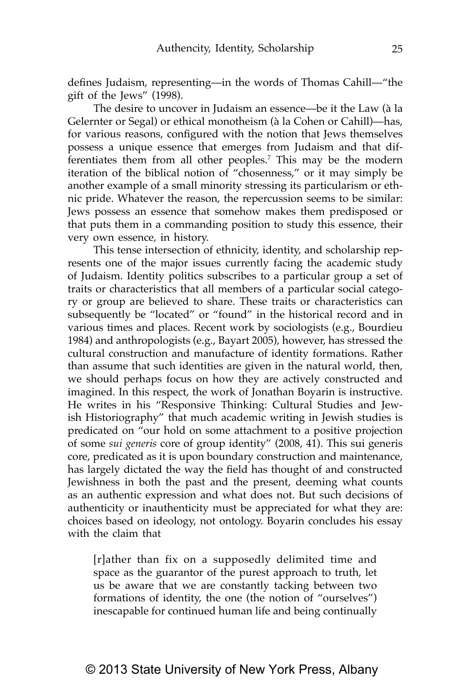defines Judaism, representing—in the words of Thomas Cahill—"the gift of the Jews" (1998).

The desire to uncover in Judaism an essence—be it the Law (à la Gelernter or Segal) or ethical monotheism (à la Cohen or Cahill)—has, for various reasons, configured with the notion that Jews themselves possess a unique essence that emerges from Judaism and that differentiates them from all other peoples.7 This may be the modern iteration of the biblical notion of "chosenness," or it may simply be another example of a small minority stressing its particularism or ethnic pride. Whatever the reason, the repercussion seems to be similar: Jews possess an essence that somehow makes them predisposed or that puts them in a commanding position to study this essence, their very own essence, in history.

This tense intersection of ethnicity, identity, and scholarship represents one of the major issues currently facing the academic study of Judaism. Identity politics subscribes to a particular group a set of traits or characteristics that all members of a particular social category or group are believed to share. These traits or characteristics can subsequently be "located" or "found" in the historical record and in various times and places. Recent work by sociologists (e.g., Bourdieu 1984) and anthropologists (e.g., Bayart 2005), however, has stressed the cultural construction and manufacture of identity formations. Rather than assume that such identities are given in the natural world, then, we should perhaps focus on how they are actively constructed and imagined. In this respect, the work of Jonathan Boyarin is instructive. He writes in his "Responsive Thinking: Cultural Studies and Jewish Historiography" that much academic writing in Jewish studies is predicated on "our hold on some attachment to a positive projection of some *sui generis* core of group identity" (2008, 41). This sui generis core, predicated as it is upon boundary construction and maintenance, has largely dictated the way the field has thought of and constructed Jewishness in both the past and the present, deeming what counts as an authentic expression and what does not. But such decisions of authenticity or inauthenticity must be appreciated for what they are: choices based on ideology, not ontology. Boyarin concludes his essay with the claim that

[r]ather than fix on a supposedly delimited time and space as the guarantor of the purest approach to truth, let us be aware that we are constantly tacking between two formations of identity, the one (the notion of "ourselves") inescapable for continued human life and being continually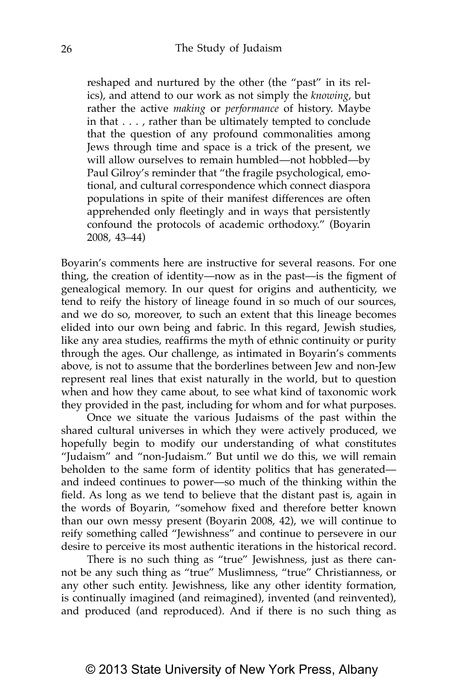reshaped and nurtured by the other (the "past" in its relics), and attend to our work as not simply the *knowing*, but rather the active *making* or *performance* of history. Maybe in that . . . , rather than be ultimately tempted to conclude that the question of any profound commonalities among Jews through time and space is a trick of the present, we will allow ourselves to remain humbled—not hobbled—by Paul Gilroy's reminder that "the fragile psychological, emotional, and cultural correspondence which connect diaspora populations in spite of their manifest differences are often apprehended only fleetingly and in ways that persistently confound the protocols of academic orthodoxy." (Boyarin 2008, 43–44)

Boyarin's comments here are instructive for several reasons. For one thing, the creation of identity—now as in the past—is the figment of genealogical memory. In our quest for origins and authenticity, we tend to reify the history of lineage found in so much of our sources, and we do so, moreover, to such an extent that this lineage becomes elided into our own being and fabric. In this regard, Jewish studies, like any area studies, reaffirms the myth of ethnic continuity or purity through the ages. Our challenge, as intimated in Boyarin's comments above, is not to assume that the borderlines between Jew and non-Jew represent real lines that exist naturally in the world, but to question when and how they came about, to see what kind of taxonomic work they provided in the past, including for whom and for what purposes.

Once we situate the various Judaisms of the past within the shared cultural universes in which they were actively produced, we hopefully begin to modify our understanding of what constitutes "Judaism" and "non-Judaism." But until we do this, we will remain beholden to the same form of identity politics that has generated and indeed continues to power—so much of the thinking within the field. As long as we tend to believe that the distant past is, again in the words of Boyarin, "somehow fixed and therefore better known than our own messy present (Boyarin 2008, 42), we will continue to reify something called "Jewishness" and continue to persevere in our desire to perceive its most authentic iterations in the historical record.

There is no such thing as "true" Jewishness, just as there cannot be any such thing as "true" Muslimness, "true" Christianness, or any other such entity. Jewishness, like any other identity formation, is continually imagined (and reimagined), invented (and reinvented), and produced (and reproduced). And if there is no such thing as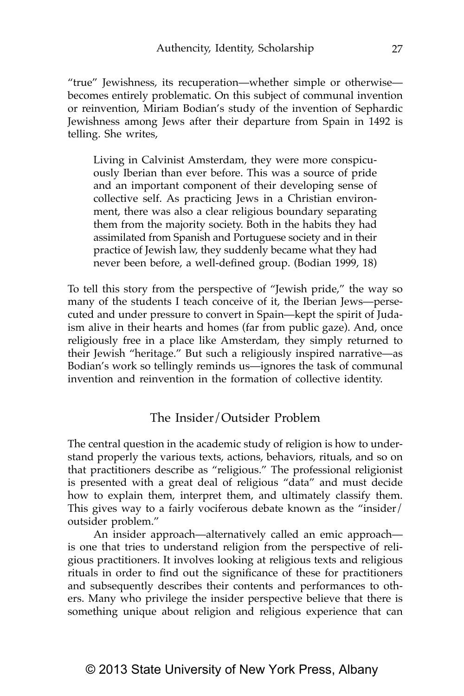"true" Jewishness, its recuperation—whether simple or otherwise becomes entirely problematic. On this subject of communal invention or reinvention, Miriam Bodian's study of the invention of Sephardic Jewishness among Jews after their departure from Spain in 1492 is telling. She writes,

Living in Calvinist Amsterdam, they were more conspicuously Iberian than ever before. This was a source of pride and an important component of their developing sense of collective self. As practicing Jews in a Christian environment, there was also a clear religious boundary separating them from the majority society. Both in the habits they had assimilated from Spanish and Portuguese society and in their practice of Jewish law, they suddenly became what they had never been before, a well-defined group. (Bodian 1999, 18)

To tell this story from the perspective of "Jewish pride," the way so many of the students I teach conceive of it, the Iberian Jews—persecuted and under pressure to convert in Spain—kept the spirit of Judaism alive in their hearts and homes (far from public gaze). And, once religiously free in a place like Amsterdam, they simply returned to their Jewish "heritage." But such a religiously inspired narrative—as Bodian's work so tellingly reminds us—ignores the task of communal invention and reinvention in the formation of collective identity.

## The Insider/Outsider Problem

The central question in the academic study of religion is how to understand properly the various texts, actions, behaviors, rituals, and so on that practitioners describe as "religious." The professional religionist is presented with a great deal of religious "data" and must decide how to explain them, interpret them, and ultimately classify them. This gives way to a fairly vociferous debate known as the "insider/ outsider problem."

An insider approach—alternatively called an emic approach is one that tries to understand religion from the perspective of religious practitioners. It involves looking at religious texts and religious rituals in order to find out the significance of these for practitioners and subsequently describes their contents and performances to others. Many who privilege the insider perspective believe that there is something unique about religion and religious experience that can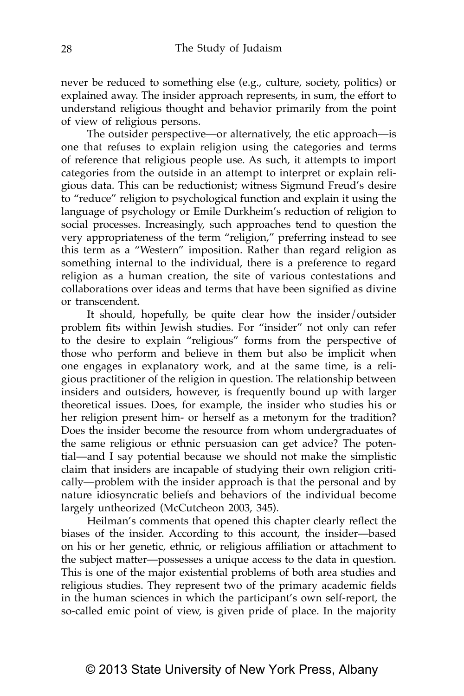never be reduced to something else (e.g., culture, society, politics) or explained away. The insider approach represents, in sum, the effort to understand religious thought and behavior primarily from the point of view of religious persons.

The outsider perspective—or alternatively, the etic approach—is one that refuses to explain religion using the categories and terms of reference that religious people use. As such, it attempts to import categories from the outside in an attempt to interpret or explain religious data. This can be reductionist; witness Sigmund Freud's desire to "reduce" religion to psychological function and explain it using the language of psychology or Emile Durkheim's reduction of religion to social processes. Increasingly, such approaches tend to question the very appropriateness of the term "religion," preferring instead to see this term as a "Western" imposition. Rather than regard religion as something internal to the individual, there is a preference to regard religion as a human creation, the site of various contestations and collaborations over ideas and terms that have been signified as divine or transcendent.

It should, hopefully, be quite clear how the insider/outsider problem fits within Jewish studies. For "insider" not only can refer to the desire to explain "religious" forms from the perspective of those who perform and believe in them but also be implicit when one engages in explanatory work, and at the same time, is a religious practitioner of the religion in question. The relationship between insiders and outsiders, however, is frequently bound up with larger theoretical issues. Does, for example, the insider who studies his or her religion present him- or herself as a metonym for the tradition? Does the insider become the resource from whom undergraduates of the same religious or ethnic persuasion can get advice? The potential—and I say potential because we should not make the simplistic claim that insiders are incapable of studying their own religion critically—problem with the insider approach is that the personal and by nature idiosyncratic beliefs and behaviors of the individual become largely untheorized (McCutcheon 2003, 345).

Heilman's comments that opened this chapter clearly reflect the biases of the insider. According to this account, the insider—based on his or her genetic, ethnic, or religious affiliation or attachment to the subject matter—possesses a unique access to the data in question. This is one of the major existential problems of both area studies and religious studies. They represent two of the primary academic fields in the human sciences in which the participant's own self-report, the so-called emic point of view, is given pride of place. In the majority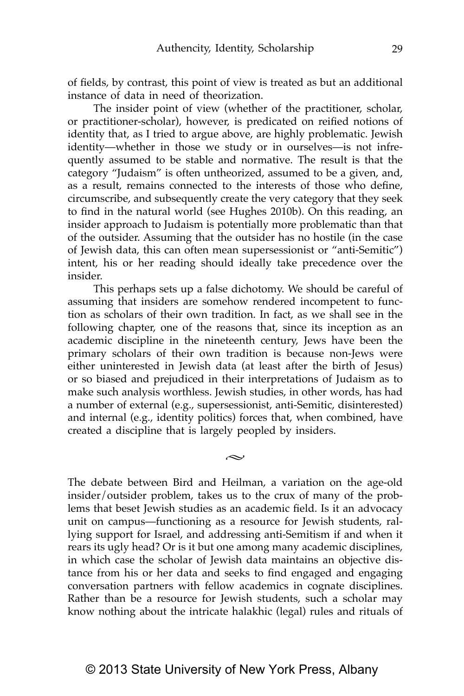of fields, by contrast, this point of view is treated as but an additional instance of data in need of theorization.

The insider point of view (whether of the practitioner, scholar, or practitioner-scholar), however, is predicated on reified notions of identity that, as I tried to argue above, are highly problematic. Jewish identity—whether in those we study or in ourselves—is not infrequently assumed to be stable and normative. The result is that the category "Judaism" is often untheorized, assumed to be a given, and, as a result, remains connected to the interests of those who define, circumscribe, and subsequently create the very category that they seek to find in the natural world (see Hughes 2010b). On this reading, an insider approach to Judaism is potentially more problematic than that of the outsider. Assuming that the outsider has no hostile (in the case of Jewish data, this can often mean supersessionist or "anti-Semitic") intent, his or her reading should ideally take precedence over the insider.

This perhaps sets up a false dichotomy. We should be careful of assuming that insiders are somehow rendered incompetent to function as scholars of their own tradition. In fact, as we shall see in the following chapter, one of the reasons that, since its inception as an academic discipline in the nineteenth century, Jews have been the primary scholars of their own tradition is because non-Jews were either uninterested in Jewish data (at least after the birth of Jesus) or so biased and prejudiced in their interpretations of Judaism as to make such analysis worthless. Jewish studies, in other words, has had a number of external (e.g., supersessionist, anti-Semitic, disinterested) and internal (e.g., identity politics) forces that, when combined, have created a discipline that is largely peopled by insiders.

The debate between Bird and Heilman, a variation on the age-old insider/outsider problem, takes us to the crux of many of the problems that beset Jewish studies as an academic field. Is it an advocacy unit on campus—functioning as a resource for Jewish students, rallying support for Israel, and addressing anti-Semitism if and when it rears its ugly head? Or is it but one among many academic disciplines, in which case the scholar of Jewish data maintains an objective distance from his or her data and seeks to find engaged and engaging conversation partners with fellow academics in cognate disciplines. Rather than be a resource for Jewish students, such a scholar may know nothing about the intricate halakhic (legal) rules and rituals of

بحہ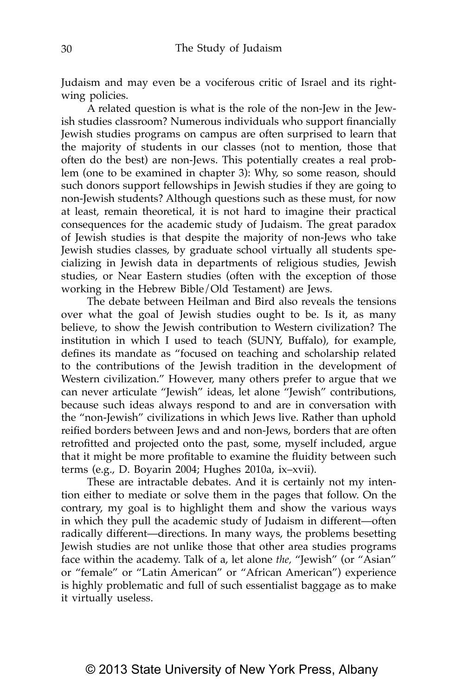Judaism and may even be a vociferous critic of Israel and its rightwing policies.

A related question is what is the role of the non-Jew in the Jewish studies classroom? Numerous individuals who support financially Jewish studies programs on campus are often surprised to learn that the majority of students in our classes (not to mention, those that often do the best) are non-Jews. This potentially creates a real problem (one to be examined in chapter 3): Why, so some reason, should such donors support fellowships in Jewish studies if they are going to non-Jewish students? Although questions such as these must, for now at least, remain theoretical, it is not hard to imagine their practical consequences for the academic study of Judaism. The great paradox of Jewish studies is that despite the majority of non-Jews who take Jewish studies classes, by graduate school virtually all students specializing in Jewish data in departments of religious studies, Jewish studies, or Near Eastern studies (often with the exception of those working in the Hebrew Bible/Old Testament) are Jews.

The debate between Heilman and Bird also reveals the tensions over what the goal of Jewish studies ought to be. Is it, as many believe, to show the Jewish contribution to Western civilization? The institution in which I used to teach (SUNY, Buffalo), for example, defines its mandate as "focused on teaching and scholarship related to the contributions of the Jewish tradition in the development of Western civilization." However, many others prefer to argue that we can never articulate "Jewish" ideas, let alone "Jewish" contributions, because such ideas always respond to and are in conversation with the "non-Jewish" civilizations in which Jews live. Rather than uphold reified borders between Jews and and non-Jews, borders that are often retrofitted and projected onto the past, some, myself included, argue that it might be more profitable to examine the fluidity between such terms (e.g., D. Boyarin 2004; Hughes 2010a, ix–xvii).

These are intractable debates. And it is certainly not my intention either to mediate or solve them in the pages that follow. On the contrary, my goal is to highlight them and show the various ways in which they pull the academic study of Judaism in different—often radically different—directions. In many ways, the problems besetting Jewish studies are not unlike those that other area studies programs face within the academy. Talk of a, let alone *the,* "Jewish" (or "Asian" or "female" or "Latin American" or "African American") experience is highly problematic and full of such essentialist baggage as to make it virtually useless.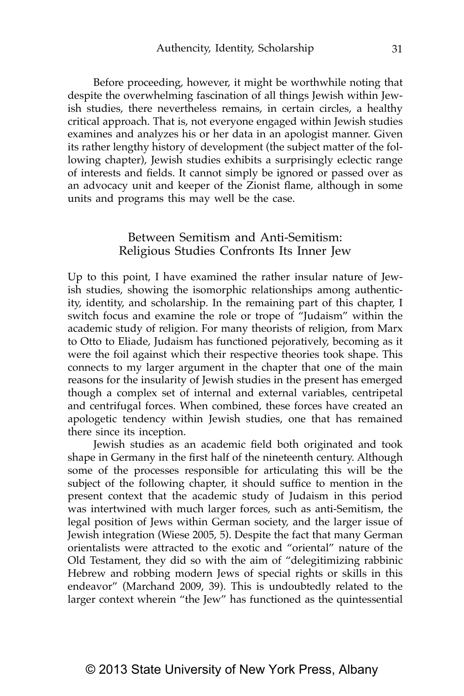Before proceeding, however, it might be worthwhile noting that despite the overwhelming fascination of all things Jewish within Jewish studies, there nevertheless remains, in certain circles, a healthy critical approach. That is, not everyone engaged within Jewish studies examines and analyzes his or her data in an apologist manner. Given its rather lengthy history of development (the subject matter of the following chapter), Jewish studies exhibits a surprisingly eclectic range of interests and fields. It cannot simply be ignored or passed over as an advocacy unit and keeper of the Zionist flame, although in some units and programs this may well be the case.

### Between Semitism and Anti-Semitism: Religious Studies Confronts Its Inner Jew

Up to this point, I have examined the rather insular nature of Jewish studies, showing the isomorphic relationships among authenticity, identity, and scholarship. In the remaining part of this chapter, I switch focus and examine the role or trope of "Judaism" within the academic study of religion. For many theorists of religion, from Marx to Otto to Eliade, Judaism has functioned pejoratively, becoming as it were the foil against which their respective theories took shape. This connects to my larger argument in the chapter that one of the main reasons for the insularity of Jewish studies in the present has emerged though a complex set of internal and external variables, centripetal and centrifugal forces. When combined, these forces have created an apologetic tendency within Jewish studies, one that has remained there since its inception.

Jewish studies as an academic field both originated and took shape in Germany in the first half of the nineteenth century. Although some of the processes responsible for articulating this will be the subject of the following chapter, it should suffice to mention in the present context that the academic study of Judaism in this period was intertwined with much larger forces, such as anti-Semitism, the legal position of Jews within German society, and the larger issue of Jewish integration (Wiese 2005, 5). Despite the fact that many German orientalists were attracted to the exotic and "oriental" nature of the Old Testament, they did so with the aim of "delegitimizing rabbinic Hebrew and robbing modern Jews of special rights or skills in this endeavor" (Marchand 2009, 39). This is undoubtedly related to the larger context wherein "the Jew" has functioned as the quintessential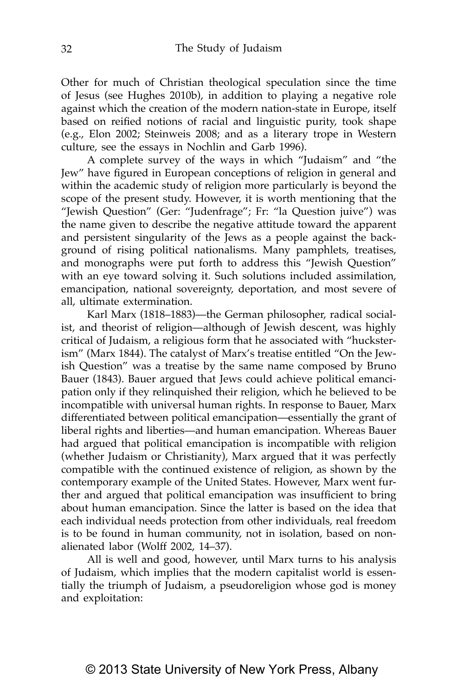Other for much of Christian theological speculation since the time of Jesus (see Hughes 2010b), in addition to playing a negative role against which the creation of the modern nation-state in Europe, itself based on reified notions of racial and linguistic purity, took shape (e.g., Elon 2002; Steinweis 2008; and as a literary trope in Western culture, see the essays in Nochlin and Garb 1996).

A complete survey of the ways in which "Judaism" and "the Jew" have figured in European conceptions of religion in general and within the academic study of religion more particularly is beyond the scope of the present study. However, it is worth mentioning that the "Jewish Question" (Ger: "Judenfrage"; Fr: "la Question juive") was the name given to describe the negative attitude toward the apparent and persistent singularity of the Jews as a people against the background of rising political nationalisms. Many pamphlets, treatises, and monographs were put forth to address this "Jewish Question" with an eye toward solving it. Such solutions included assimilation, emancipation, national sovereignty, deportation, and most severe of all, ultimate extermination.

Karl Marx (1818–1883)—the German philosopher, radical socialist, and theorist of religion—although of Jewish descent, was highly critical of Judaism, a religious form that he associated with "hucksterism" (Marx 1844). The catalyst of Marx's treatise entitled "On the Jewish Question" was a treatise by the same name composed by Bruno Bauer (1843). Bauer argued that Jews could achieve political emancipation only if they relinquished their religion, which he believed to be incompatible with universal human rights. In response to Bauer, Marx differentiated between political emancipation—essentially the grant of liberal rights and liberties—and human emancipation. Whereas Bauer had argued that political emancipation is incompatible with religion (whether Judaism or Christianity), Marx argued that it was perfectly compatible with the continued existence of religion, as shown by the contemporary example of the United States. However, Marx went further and argued that political emancipation was insufficient to bring about human emancipation. Since the latter is based on the idea that each individual needs protection from other individuals, real freedom is to be found in human community, not in isolation, based on nonalienated labor (Wolff 2002, 14–37).

All is well and good, however, until Marx turns to his analysis of Judaism, which implies that the modern capitalist world is essentially the triumph of Judaism, a pseudoreligion whose god is money and exploitation: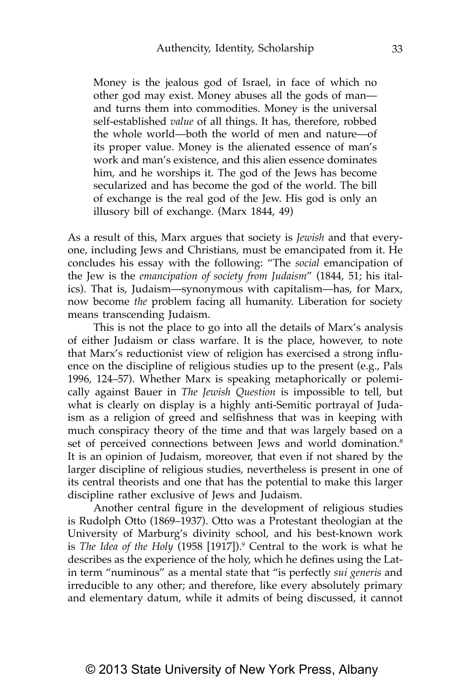Money is the jealous god of Israel, in face of which no other god may exist. Money abuses all the gods of man and turns them into commodities. Money is the universal self-established *value* of all things. It has, therefore, robbed the whole world—both the world of men and nature—of its proper value. Money is the alienated essence of man's work and man's existence, and this alien essence dominates him, and he worships it. The god of the Jews has become secularized and has become the god of the world. The bill of exchange is the real god of the Jew. His god is only an illusory bill of exchange. (Marx 1844, 49)

As a result of this, Marx argues that society is *Jewish* and that everyone, including Jews and Christians, must be emancipated from it. He concludes his essay with the following: "The *social* emancipation of the Jew is the *emancipation of society from Judaism*" (1844, 51; his italics). That is, Judaism—synonymous with capitalism—has, for Marx, now become *the* problem facing all humanity. Liberation for society means transcending Judaism.

This is not the place to go into all the details of Marx's analysis of either Judaism or class warfare. It is the place, however, to note that Marx's reductionist view of religion has exercised a strong influence on the discipline of religious studies up to the present (e.g., Pals 1996, 124–57). Whether Marx is speaking metaphorically or polemically against Bauer in *The Jewish Question* is impossible to tell, but what is clearly on display is a highly anti-Semitic portrayal of Judaism as a religion of greed and selfishness that was in keeping with much conspiracy theory of the time and that was largely based on a set of perceived connections between Jews and world domination.<sup>8</sup> It is an opinion of Judaism, moreover, that even if not shared by the larger discipline of religious studies, nevertheless is present in one of its central theorists and one that has the potential to make this larger discipline rather exclusive of Jews and Judaism.

Another central figure in the development of religious studies is Rudolph Otto (1869–1937). Otto was a Protestant theologian at the University of Marburg's divinity school, and his best-known work is *The Idea of the Holy* (1958 [1917]).9 Central to the work is what he describes as the experience of the holy, which he defines using the Latin term "numinous" as a mental state that "is perfectly *sui generis* and irreducible to any other; and therefore, like every absolutely primary and elementary datum, while it admits of being discussed, it cannot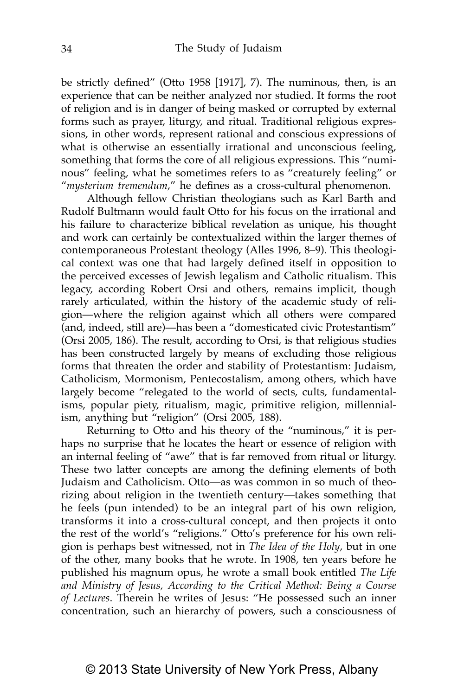be strictly defined" (Otto 1958 [1917], 7). The numinous, then, is an experience that can be neither analyzed nor studied. It forms the root of religion and is in danger of being masked or corrupted by external forms such as prayer, liturgy, and ritual. Traditional religious expressions, in other words, represent rational and conscious expressions of what is otherwise an essentially irrational and unconscious feeling, something that forms the core of all religious expressions. This "numinous" feeling, what he sometimes refers to as "creaturely feeling" or "*mysterium tremendum*," he defines as a cross-cultural phenomenon.

Although fellow Christian theologians such as Karl Barth and Rudolf Bultmann would fault Otto for his focus on the irrational and his failure to characterize biblical revelation as unique, his thought and work can certainly be contextualized within the larger themes of contemporaneous Protestant theology (Alles 1996, 8–9). This theological context was one that had largely defined itself in opposition to the perceived excesses of Jewish legalism and Catholic ritualism. This legacy, according Robert Orsi and others, remains implicit, though rarely articulated, within the history of the academic study of religion—where the religion against which all others were compared (and, indeed, still are)—has been a "domesticated civic Protestantism" (Orsi 2005, 186). The result, according to Orsi, is that religious studies has been constructed largely by means of excluding those religious forms that threaten the order and stability of Protestantism: Judaism, Catholicism, Mormonism, Pentecostalism, among others, which have largely become "relegated to the world of sects, cults, fundamentalisms, popular piety, ritualism, magic, primitive religion, millennialism, anything but "religion" (Orsi 2005, 188).

Returning to Otto and his theory of the "numinous," it is perhaps no surprise that he locates the heart or essence of religion with an internal feeling of "awe" that is far removed from ritual or liturgy. These two latter concepts are among the defining elements of both Judaism and Catholicism. Otto—as was common in so much of theorizing about religion in the twentieth century—takes something that he feels (pun intended) to be an integral part of his own religion, transforms it into a cross-cultural concept, and then projects it onto the rest of the world's "religions." Otto's preference for his own religion is perhaps best witnessed, not in *The Idea of the Holy*, but in one of the other, many books that he wrote. In 1908, ten years before he published his magnum opus, he wrote a small book entitled *The Life and Ministry of Jesus, According to the Critical Method: Being a Course of Lectures*. Therein he writes of Jesus: "He possessed such an inner concentration, such an hierarchy of powers, such a consciousness of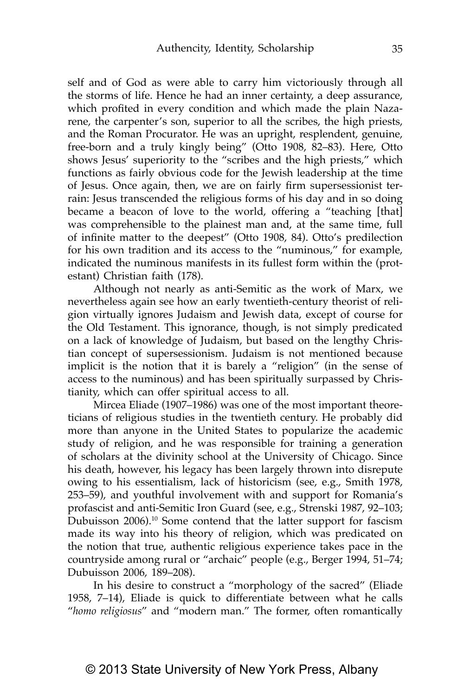self and of God as were able to carry him victoriously through all the storms of life. Hence he had an inner certainty, a deep assurance, which profited in every condition and which made the plain Nazarene, the carpenter's son, superior to all the scribes, the high priests, and the Roman Procurator. He was an upright, resplendent, genuine, free-born and a truly kingly being" (Otto 1908, 82–83). Here, Otto shows Jesus' superiority to the "scribes and the high priests," which functions as fairly obvious code for the Jewish leadership at the time of Jesus. Once again, then, we are on fairly firm supersessionist terrain: Jesus transcended the religious forms of his day and in so doing became a beacon of love to the world, offering a "teaching [that] was comprehensible to the plainest man and, at the same time, full of infinite matter to the deepest" (Otto 1908, 84). Otto's predilection for his own tradition and its access to the "numinous," for example, indicated the numinous manifests in its fullest form within the (protestant) Christian faith (178).

Although not nearly as anti-Semitic as the work of Marx, we nevertheless again see how an early twentieth-century theorist of religion virtually ignores Judaism and Jewish data, except of course for the Old Testament. This ignorance, though, is not simply predicated on a lack of knowledge of Judaism, but based on the lengthy Christian concept of supersessionism. Judaism is not mentioned because implicit is the notion that it is barely a "religion" (in the sense of access to the numinous) and has been spiritually surpassed by Christianity, which can offer spiritual access to all.

Mircea Eliade (1907–1986) was one of the most important theoreticians of religious studies in the twentieth century. He probably did more than anyone in the United States to popularize the academic study of religion, and he was responsible for training a generation of scholars at the divinity school at the University of Chicago. Since his death, however, his legacy has been largely thrown into disrepute owing to his essentialism, lack of historicism (see, e.g., Smith 1978, 253–59), and youthful involvement with and support for Romania's profascist and anti-Semitic Iron Guard (see, e.g., Strenski 1987, 92–103; Dubuisson 2006).<sup>10</sup> Some contend that the latter support for fascism made its way into his theory of religion, which was predicated on the notion that true, authentic religious experience takes pace in the countryside among rural or "archaic" people (e.g., Berger 1994, 51–74; Dubuisson 2006, 189–208).

In his desire to construct a "morphology of the sacred" (Eliade 1958, 7–14), Eliade is quick to differentiate between what he calls "*homo religiosus*" and "modern man." The former, often romantically